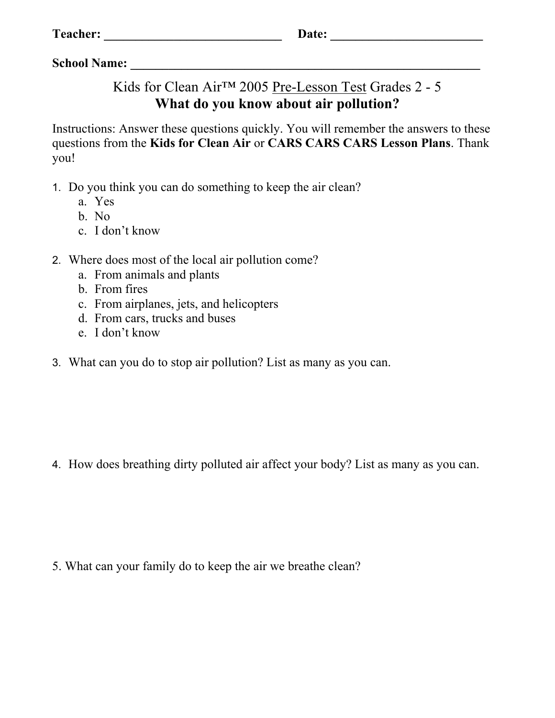| <b>Teacher:</b> |
|-----------------|
|                 |

## Kids for Clean Air™ 2005 Pre-Lesson Test Grades 2 - 5 **What do you know about air pollution?**

Instructions: Answer these questions quickly. You will remember the answers to these questions from the **Kids for Clean Air** or **CARS CARS CARS Lesson Plans**. Thank you!

- 1. Do you think you can do something to keep the air clean?
	- a. Yes
	- b. No
	- c. I don't know
- 2. Where does most of the local air pollution come?
	- a. From animals and plants
	- b. From fires
	- c. From airplanes, jets, and helicopters
	- d. From cars, trucks and buses
	- e. I don't know
- 3. What can you do to stop air pollution? List as many as you can.

4. How does breathing dirty polluted air affect your body? List as many as you can.

5. What can your family do to keep the air we breathe clean?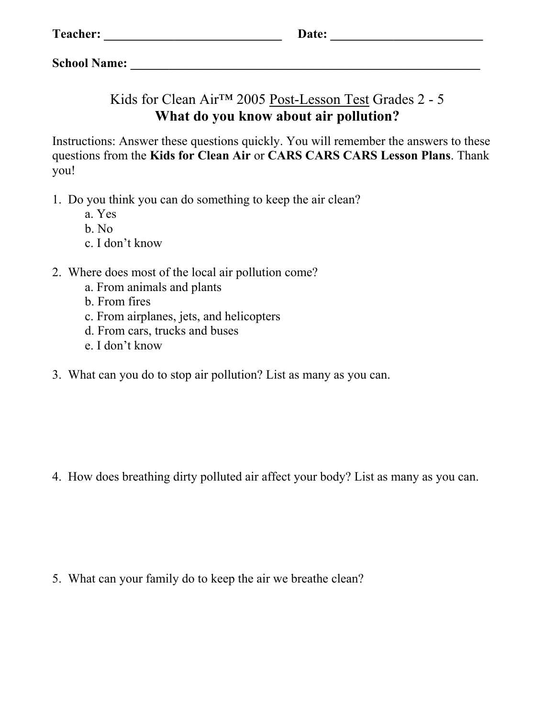## Kids for Clean Air™ 2005 Post-Lesson Test Grades 2 - 5 **What do you know about air pollution?**

Instructions: Answer these questions quickly. You will remember the answers to these questions from the **Kids for Clean Air** or **CARS CARS CARS Lesson Plans**. Thank you!

- 1. Do you think you can do something to keep the air clean?
	- a. Yes
	- b. No
	- c. I don't know
- 2. Where does most of the local air pollution come?
	- a. From animals and plants
	- b. From fires
	- c. From airplanes, jets, and helicopters
	- d. From cars, trucks and buses
	- e. I don't know
- 3. What can you do to stop air pollution? List as many as you can.

4. How does breathing dirty polluted air affect your body? List as many as you can.

5. What can your family do to keep the air we breathe clean?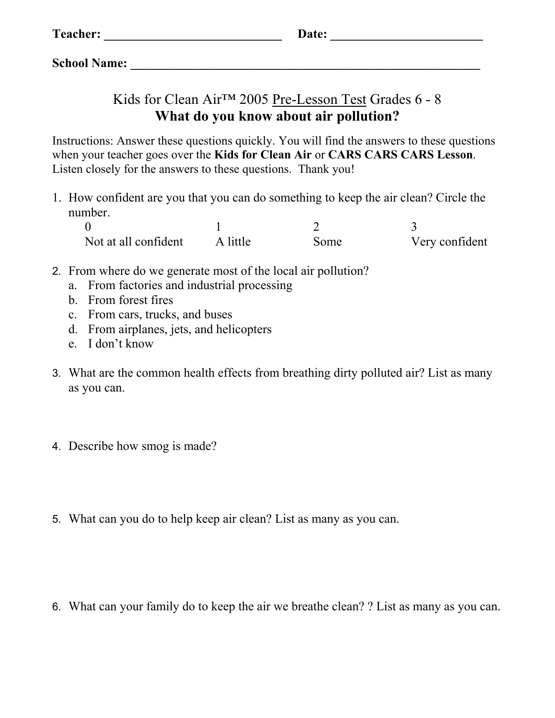## Kids for Clean Air™ 2005 Pre-Lesson Test Grades 6 - 8 **What do you know about air pollution?**

Instructions: Answer these questions quickly. You will find the answers to these questions when your teacher goes over the **Kids for Clean Air** or **CARS CARS CARS Lesson**. Listen closely for the answers to these questions. Thank you!

1. How confident are you that you can do something to keep the air clean? Circle the number.

| Not at all confident | A little | Some | Very confident |
|----------------------|----------|------|----------------|

- 2. From where do we generate most of the local air pollution?
	- a. From factories and industrial processing
	- b. From forest fires
	- c. From cars, trucks, and buses
	- d. From airplanes, jets, and helicopters
	- e. I don't know
- 3. What are the common health effects from breathing dirty polluted air? List as many as you can.
- 4. Describe how smog is made?
- 5. What can you do to help keep air clean? List as many as you can.

6. What can your family do to keep the air we breathe clean? ? List as many as you can.